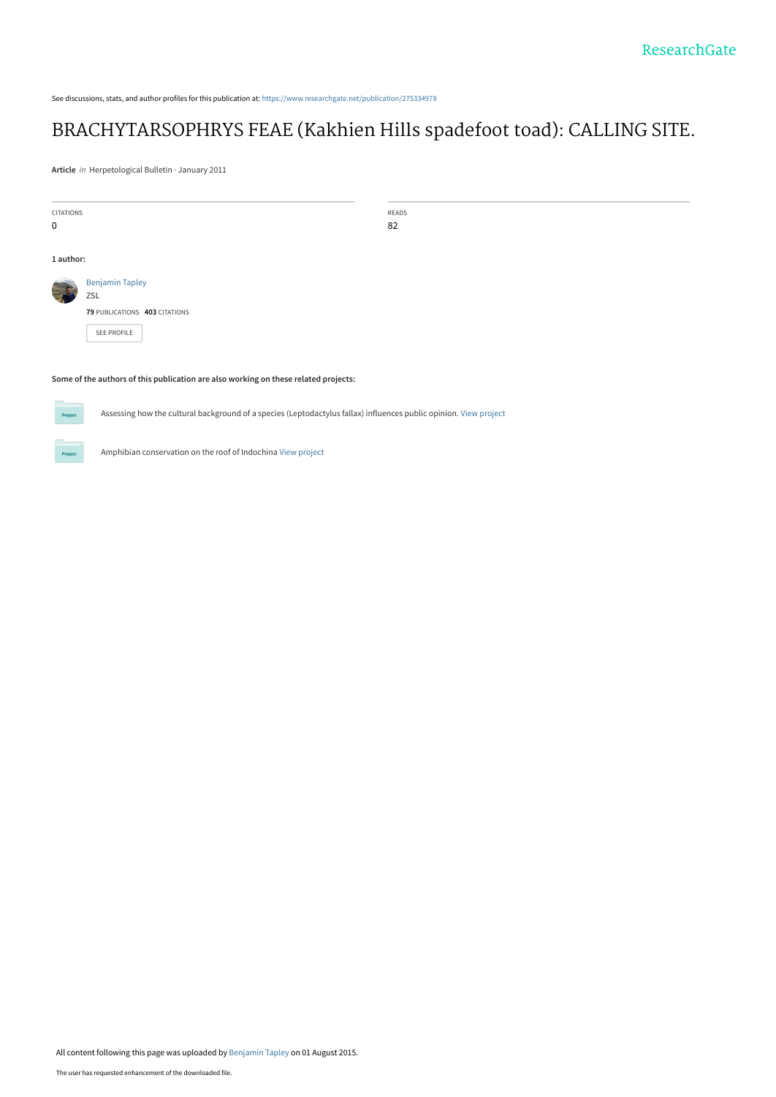See discussions, stats, and author profiles for this publication at: [https://www.researchgate.net/publication/275334978](https://www.researchgate.net/publication/275334978_BRACHYTARSOPHRYS_FEAE_Kakhien_Hills_spadefoot_toad_CALLING_SITE?enrichId=rgreq-e99f7b7b8f5630c4927e2da5c6b23db5-XXX&enrichSource=Y292ZXJQYWdlOzI3NTMzNDk3ODtBUzoyNTc1NTgwMDY5ODg4MDBAMTQzODQxODAyMjY2NQ%3D%3D&el=1_x_2&_esc=publicationCoverPdf)

## [BRACHYTARSOPHRYS FEAE \(Kakhien Hills spadefoot toad\): CALLING SITE.](https://www.researchgate.net/publication/275334978_BRACHYTARSOPHRYS_FEAE_Kakhien_Hills_spadefoot_toad_CALLING_SITE?enrichId=rgreq-e99f7b7b8f5630c4927e2da5c6b23db5-XXX&enrichSource=Y292ZXJQYWdlOzI3NTMzNDk3ODtBUzoyNTc1NTgwMDY5ODg4MDBAMTQzODQxODAyMjY2NQ%3D%3D&el=1_x_3&_esc=publicationCoverPdf)

**Article** in Herpetological Bulletin · January 2011

| READS<br><b>CITATIONS</b><br>82<br>$\pmb{0}$<br>1 author: |  |
|-----------------------------------------------------------|--|
|                                                           |  |
|                                                           |  |
|                                                           |  |
|                                                           |  |
| <b>Benjamin Tapley</b>                                    |  |
| ZSL                                                       |  |
| 79 PUBLICATIONS 403 CITATIONS                             |  |
| SEE PROFILE                                               |  |
|                                                           |  |

## **Some of the authors of this publication are also working on these related projects:**



Assessing how the cultural background of a species (Leptodactylus fallax) influences public opinion. [View project](https://www.researchgate.net/project/Assessing-how-the-cultural-background-of-a-species-Leptodactylus-fallax-influences-public-opinion?enrichId=rgreq-e99f7b7b8f5630c4927e2da5c6b23db5-XXX&enrichSource=Y292ZXJQYWdlOzI3NTMzNDk3ODtBUzoyNTc1NTgwMDY5ODg4MDBAMTQzODQxODAyMjY2NQ%3D%3D&el=1_x_9&_esc=publicationCoverPdf)

Amphibian conservation on the roof of Indochina [View project](https://www.researchgate.net/project/Amphibian-conservation-on-the-roof-of-Indochina?enrichId=rgreq-e99f7b7b8f5630c4927e2da5c6b23db5-XXX&enrichSource=Y292ZXJQYWdlOzI3NTMzNDk3ODtBUzoyNTc1NTgwMDY5ODg4MDBAMTQzODQxODAyMjY2NQ%3D%3D&el=1_x_9&_esc=publicationCoverPdf)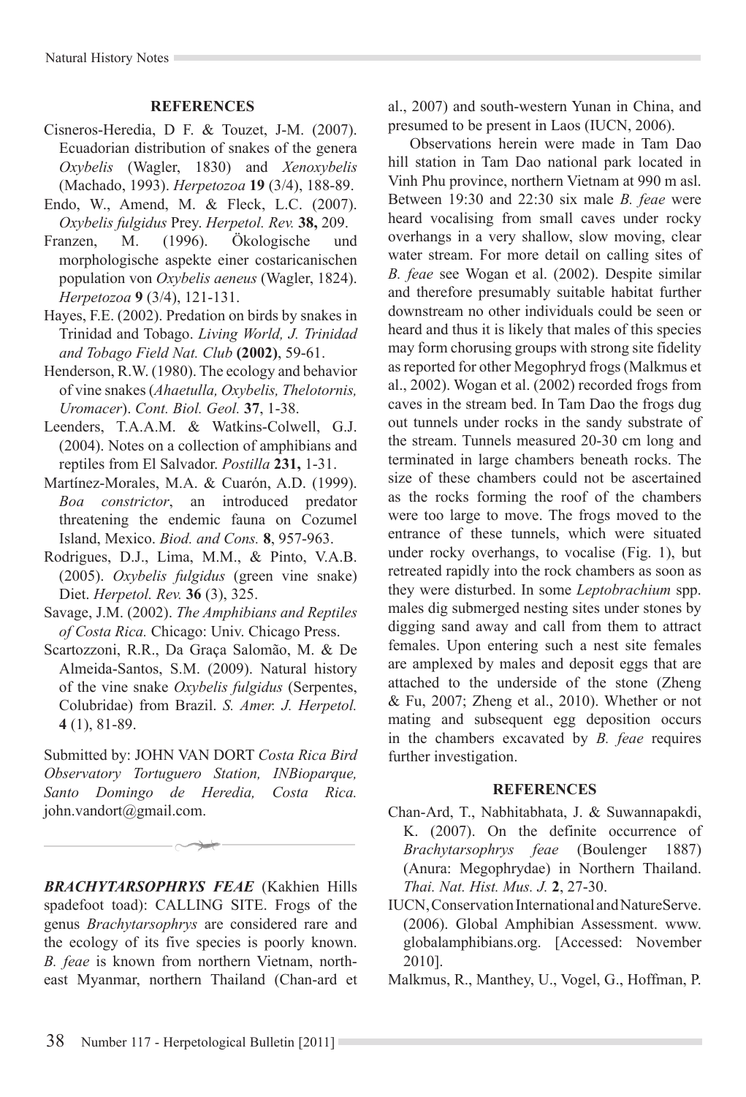## **REFERENCES**

- Cisneros-Heredia, D F. & Touzet, J-M. (2007). Ecuadorian distribution of snakes of the genera *Oxybelis* (Wagler, 1830) and *Xenoxybelis*  (Machado, 1993). *Herpetozoa* **19** (3/4), 188-89.
- Endo, W., Amend, M. & Fleck, L.C. (2007). *Oxybelis fulgidus* Prey. *Herpetol. Rev.* **38,** 209.
- Franzen, M. (1996). Ökologische und morphologische aspekte einer costaricanischen population von *Oxybelis aeneus* (Wagler, 1824). *Herpetozoa* **9** (3/4), 121-131.
- Hayes, F.E. (2002). Predation on birds by snakes in Trinidad and Tobago. *Living World, J. Trinidad and Tobago Field Nat. Club* **(2002)**, 59-61.
- Henderson, R.W. (1980). The ecology and behavior of vine snakes (*Ahaetulla, Oxybelis, Thelotornis, Uromacer*). *Cont. Biol. Geol.* **37**, 1-38.
- Leenders, T.A.A.M. & Watkins-Colwell, G.J. (2004). Notes on a collection of amphibians and reptiles from El Salvador. *Postilla* **231,** 1-31.
- Martínez-Morales, M.A. & Cuarón, A.D. (1999). *Boa constrictor*, an introduced predator threatening the endemic fauna on Cozumel Island, Mexico. *Biod. and Cons.* **8**, 957-963.
- Rodrigues, D.J., Lima, M.M., & Pinto, V.A.B. (2005). *Oxybelis fulgidus* (green vine snake) Diet. *Herpetol. Rev.* **36** (3), 325.
- Savage, J.M. (2002). *The Amphibians and Reptiles of Costa Rica.* Chicago: Univ. Chicago Press.
- Scartozzoni, R.R., Da Graça Salomão, M. & De Almeida-Santos, S.M. (2009). Natural history of the vine snake *Oxybelis fulgidus* (Serpentes, Colubridae) from Brazil. *S. Amer. J. Herpetol.* **4** (1), 81-89.

Submitted by: John van Dort *Costa Rica Bird Observatory Tortuguero Station, INBioparque, Santo Domingo de Heredia, Costa Rica.*  john.vandort@gmail.com.

*BRACHYTARSOPHRYS FEAE* (Kakhien Hills spadefoot toad): CALLING SITE. Frogs of the genus *Brachytarsophrys* are considered rare and the ecology of its five species is poorly known. *B. feae* is known from northern Vietnam, northeast Myanmar, northern Thailand (Chan-ard et al., 2007) and south-western Yunan in China, and presumed to be present in Laos (IUCN, 2006).

Observations herein were made in Tam Dao hill station in Tam Dao national park located in Vinh Phu province, northern Vietnam at 990 m asl. Between 19:30 and 22:30 six male *B. feae* were heard vocalising from small caves under rocky overhangs in a very shallow, slow moving, clear water stream. For more detail on calling sites of *B. feae* see Wogan et al. (2002). Despite similar and therefore presumably suitable habitat further downstream no other individuals could be seen or heard and thus it is likely that males of this species may form chorusing groups with strong site fidelity as reported for other Megophryd frogs (Malkmus et al., 2002). Wogan et al. (2002) recorded frogs from caves in the stream bed. In Tam Dao the frogs dug out tunnels under rocks in the sandy substrate of the stream. Tunnels measured 20-30 cm long and terminated in large chambers beneath rocks. The size of these chambers could not be ascertained as the rocks forming the roof of the chambers were too large to move. The frogs moved to the entrance of these tunnels, which were situated under rocky overhangs, to vocalise (Fig. 1), but retreated rapidly into the rock chambers as soon as they were disturbed. In some *Leptobrachium* spp. males dig submerged nesting sites under stones by digging sand away and call from them to attract females. Upon entering such a nest site females are amplexed by males and deposit eggs that are attached to the underside of the stone (Zheng & Fu, 2007; Zheng et al., 2010). Whether or not mating and subsequent egg deposition occurs in the chambers excavated by *B. feae* requires further investigation.

## **REFERENCES**

- Chan-Ard, T., Nabhitabhata, J. & Suwannapakdi, K. (2007). On the definite occurrence of *Brachytarsophrys feae* (Boulenger 1887) (Anura: Megophrydae) in Northern Thailand. *Thai. Nat. Hist. Mus. J.* **2**, 27-30.
- IUCN, Conservation International and NatureServe. (2006). Global Amphibian Assessment. www. globalamphibians.org. [Accessed: November 2010].
- Malkmus, R., Manthey, U., Vogel, G., Hoffman, P.